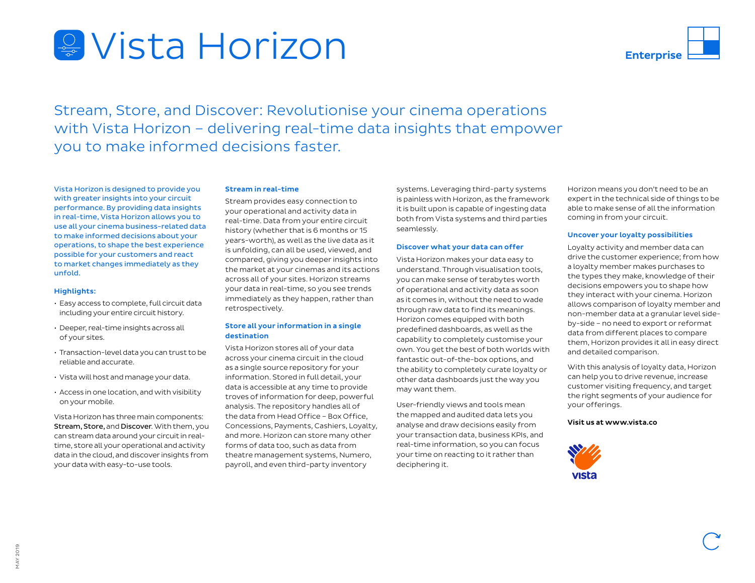# Vista Horizon



Stream, Store, and Discover: Revolutionise your cinema operations with Vista Horizon – delivering real-time data insights that empower you to make informed decisions faster.

Vista Horizon is designed to provide you with greater insights into your circuit performance. By providing data insights in real-time, Vista Horizon allows you to use all your cinema business-related data to make informed decisions about your operations, to shape the best experience possible for your customers and react to market changes immediately as they unfold.

## Highlights:

- Easy access to complete, full circuit data including your entire circuit history.
- Deeper, real-time insights across all of your sites.
- Transaction-level data you can trust to be reliable and accurate.
- Vista will host and manage your data.
- Access in one location, and with visibility on your mobile.

Vista Horizon has three main components: Stream, Store, and Discover. With them, you can stream data around your circuit in realtime, store all your operational and activity data in the cloud, and discover insights from your data with easy-to-use tools.

#### Stream in real-time

Stream provides easy connection to your operational and activity data in real-time. Data from your entire circuit history (whether that is 6 months or 15 years-worth), as well as the live data as it is unfolding, can all be used, viewed, and compared, giving you deeper insights into the market at your cinemas and its actions across all of your sites. Horizon streams your data in real-time, so you see trends immediately as they happen, rather than retrospectively.

# Store all your information in a single destination

Vista Horizon stores all of your data across your cinema circuit in the cloud as a single source repository for your information. Stored in full detail, your data is accessible at any time to provide troves of information for deep, powerful analysis. The repository handles all of the data from Head Office – Box Office, Concessions, Payments, Cashiers, Loyalty, and more. Horizon can store many other forms of data too, such as data from theatre management systems, Numero, payroll, and even third-party inventory

systems. Leveraging third-party systems is painless with Horizon, as the framework it is built upon is capable of ingesting data both from Vista systems and third parties seamlessly.

#### Discover what your data can offer

Vista Horizon makes your data easy to understand. Through visualisation tools, you can make sense of terabytes worth of operational and activity data as soon as it comes in, without the need to wade through raw data to find its meanings. Horizon comes equipped with both predefined dashboards, as well as the capability to completely customise your own. You get the best of both worlds with fantastic out-of-the-box options, and the ability to completely curate loyalty or other data dashboards just the way you may want them.

User-friendly views and tools mean the mapped and audited data lets you analyse and draw decisions easily from your transaction data, business KPIs, and real-time information, so you can focus your time on reacting to it rather than deciphering it.

Horizon means you don't need to be an expert in the technical side of things to be able to make sense of all the information coming in from your circuit.

#### Uncover your loyalty possibilities

Loyalty activity and member data can drive the customer experience; from how a loyalty member makes purchases to the types they make, knowledge of their decisions empowers you to shape how they interact with your cinema. Horizon allows comparison of loyalty member and non-member data at a granular level sideby-side – no need to export or reformat data from different places to compare them, Horizon provides it all in easy direct and detailed comparison.

With this analysis of loyalty data, Horizon can help you to drive revenue, increase customer visiting frequency, and target the right segments of your audience for your offerings.

## Visit us at www.vista.co